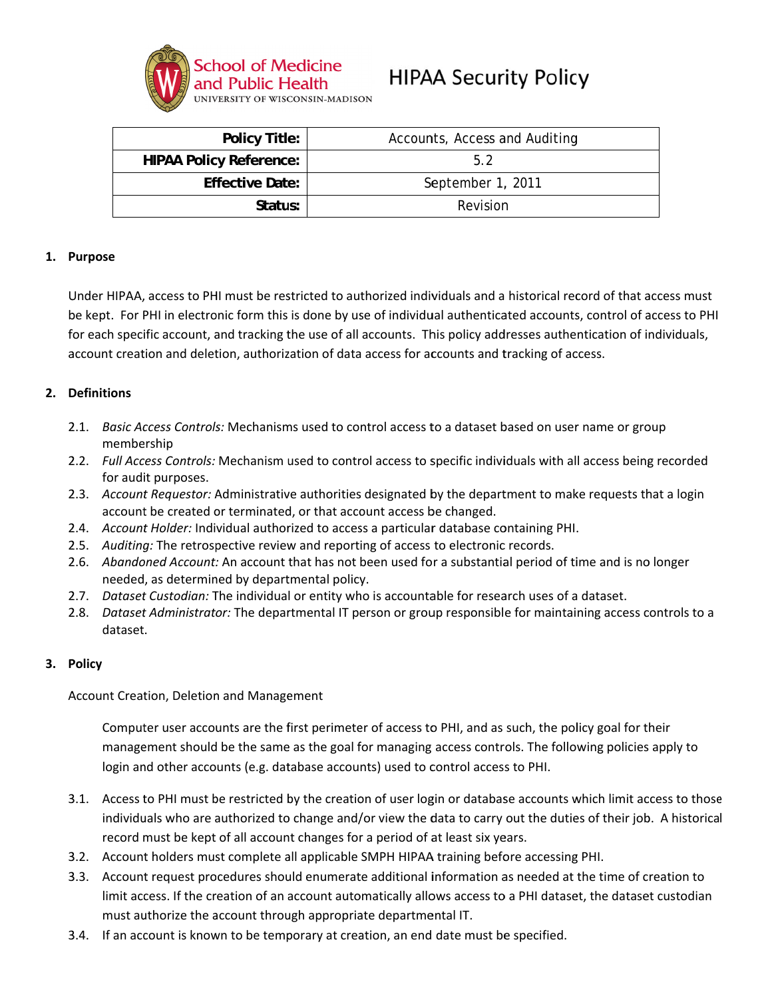

# **HIPAA Security Policy**

| <b>Policy Title:</b>           | Accounts, Access and Auditing |
|--------------------------------|-------------------------------|
| <b>HIPAA Policy Reference:</b> | 52                            |
| <b>Effective Date:</b>         | September 1, 2011             |
| Status:                        | Revision                      |

#### 1. Purpose

Under HIPAA, access to PHI must be restricted to authorized individuals and a historical record of that access must be kept. For PHI in electronic form this is done by use of individual authenticated accounts, control of access to PHI for each specific account, and tracking the use of all accounts. This policy addresses authentication of individuals, account creation and deletion, authorization of data access for accounts and tracking of access.

## 2. Definitions

- 2.1. Basic Access Controls: Mechanisms used to control access to a dataset based on user name or group membership
- 2.2. Full Access Controls: Mechanism used to control access to specific individuals with all access being recorded for audit purposes.
- 2.3. Account Requestor: Administrative authorities designated by the department to make requests that a login account be created or terminated, or that account access be changed.
- 2.4. Account Holder: Individual authorized to access a particular database containing PHI.
- 2.5. Auditing: The retrospective review and reporting of access to electronic records.
- 2.6. Abandoned Account: An account that has not been used for a substantial period of time and is no longer needed, as determined by departmental policy.
- 2.7. Dataset Custodian: The individual or entity who is accountable for research uses of a dataset.
- 2.8. Dataset Administrator: The departmental IT person or group responsible for maintaining access controls to a dataset.

#### 3. Policy

Account Creation, Deletion and Management

Computer user accounts are the first perimeter of access to PHI, and as such, the policy goal for their management should be the same as the goal for managing access controls. The following policies apply to login and other accounts (e.g. database accounts) used to control access to PHI.

- 3.1. Access to PHI must be restricted by the creation of user login or database accounts which limit access to those individuals who are authorized to change and/or view the data to carry out the duties of their job. A historical record must be kept of all account changes for a period of at least six years.
- 3.2. Account holders must complete all applicable SMPH HIPAA training before accessing PHI.
- 3.3. Account request procedures should enumerate additional information as needed at the time of creation to limit access. If the creation of an account automatically allows access to a PHI dataset, the dataset custodian must authorize the account through appropriate departmental IT.
- 3.4. If an account is known to be temporary at creation, an end date must be specified.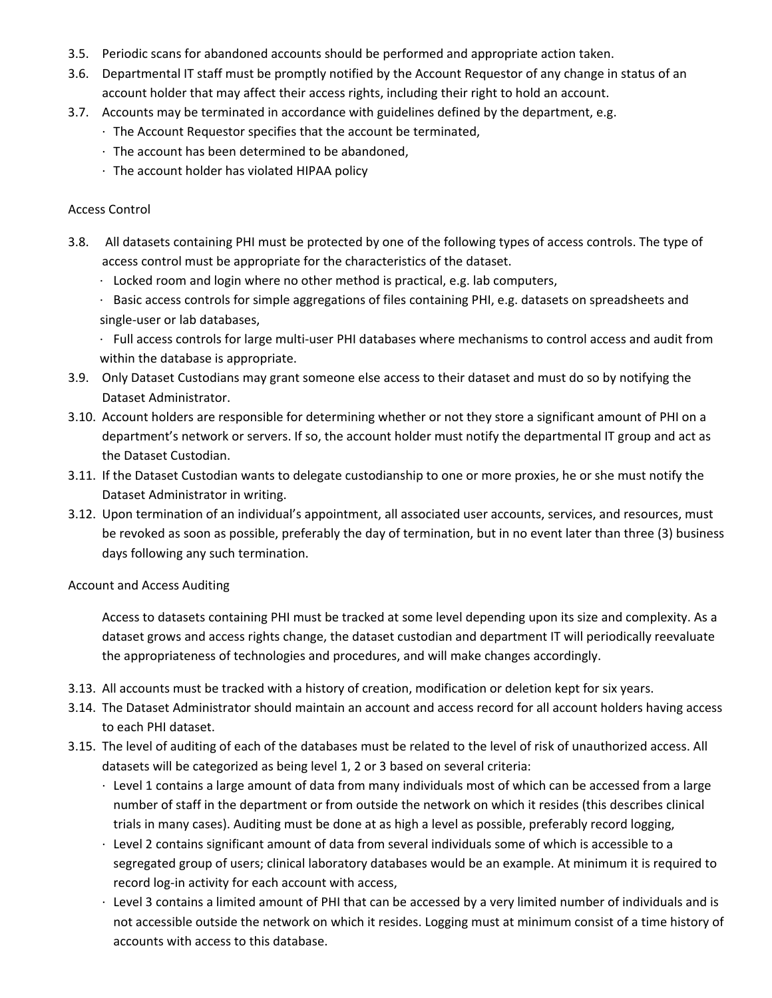- 3.5. Periodic scans for abandoned accounts should be performed and appropriate action taken.
- 3.6. Departmental IT staff must be promptly notified by the Account Requestor of any change in status of an account holder that may affect their access rights, including their right to hold an account.
- 3.7. Accounts may be terminated in accordance with guidelines defined by the department, e.g.
	- ∙ The Account Requestor specifies that the account be terminated,
	- ∙ The account has been determined to be abandoned,
	- ∙ The account holder has violated HIPAA policy

#### Access Control

- 3.8. All datasets containing PHI must be protected by one of the following types of access controls. The type of access control must be appropriate for the characteristics of the dataset.
	- ∙ Locked room and login where no other method is practical, e.g. lab computers,
	- ∙ Basic access controls for simple aggregations of files containing PHI, e.g. datasets on spreadsheets and single‐user or lab databases,

∙ Full access controls for large multi‐user PHI databases where mechanisms to control access and audit from within the database is appropriate.

- 3.9. Only Dataset Custodians may grant someone else access to their dataset and must do so by notifying the Dataset Administrator.
- 3.10. Account holders are responsible for determining whether or not they store a significant amount of PHI on a department's network or servers. If so, the account holder must notify the departmental IT group and act as the Dataset Custodian.
- 3.11. If the Dataset Custodian wants to delegate custodianship to one or more proxies, he or she must notify the Dataset Administrator in writing.
- 3.12. Upon termination of an individual's appointment, all associated user accounts, services, and resources, must be revoked as soon as possible, preferably the day of termination, but in no event later than three (3) business days following any such termination.

#### Account and Access Auditing

Access to datasets containing PHI must be tracked at some level depending upon its size and complexity. As a dataset grows and access rights change, the dataset custodian and department IT will periodically reevaluate the appropriateness of technologies and procedures, and will make changes accordingly.

- 3.13. All accounts must be tracked with a history of creation, modification or deletion kept for six years.
- 3.14. The Dataset Administrator should maintain an account and access record for all account holders having access to each PHI dataset.
- 3.15. The level of auditing of each of the databases must be related to the level of risk of unauthorized access. All datasets will be categorized as being level 1, 2 or 3 based on several criteria:
	- ∙ Level 1 contains a large amount of data from many individuals most of which can be accessed from a large number of staff in the department or from outside the network on which it resides (this describes clinical trials in many cases). Auditing must be done at as high a level as possible, preferably record logging,
	- ∙ Level 2 contains significant amount of data from several individuals some of which is accessible to a segregated group of users; clinical laboratory databases would be an example. At minimum it is required to record log‐in activity for each account with access,
	- ∙ Level 3 contains a limited amount of PHI that can be accessed by a very limited number of individuals and is not accessible outside the network on which it resides. Logging must at minimum consist of a time history of accounts with access to this database.